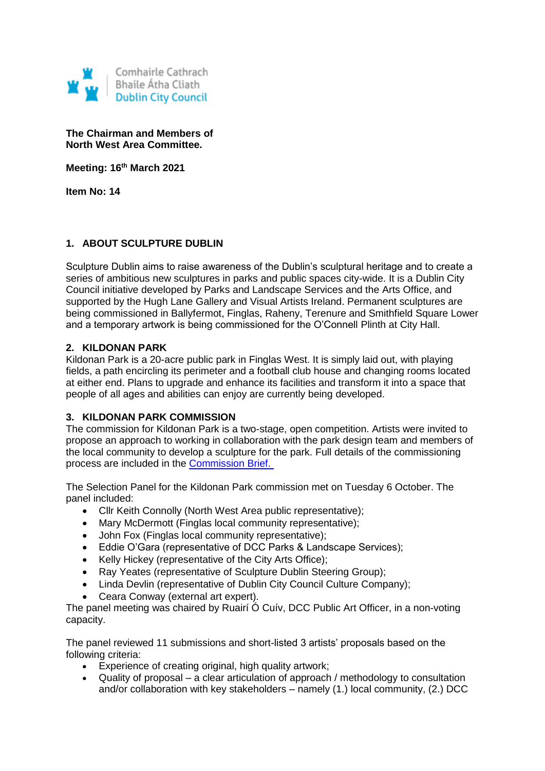

**The Chairman and Members of North West Area Committee.**

**Meeting: 16th March 2021**

**Item No: 14**

# **1. ABOUT SCULPTURE DUBLIN**

Sculpture Dublin aims to raise awareness of the Dublin's sculptural heritage and to create a series of ambitious new sculptures in parks and public spaces city-wide. It is a Dublin City Council initiative developed by Parks and Landscape Services and the Arts Office, and supported by the Hugh Lane Gallery and Visual Artists Ireland. Permanent sculptures are being commissioned in Ballyfermot, Finglas, Raheny, Terenure and Smithfield Square Lower and a temporary artwork is being commissioned for the O'Connell Plinth at City Hall.

## **2. KILDONAN PARK**

Kildonan Park is a 20-acre public park in Finglas West. It is simply laid out, with playing fields, a path encircling its perimeter and a football club house and changing rooms located at either end. Plans to upgrade and enhance its facilities and transform it into a space that people of all ages and abilities can enjoy are currently being developed.

## **3. KILDONAN PARK COMMISSION**

The commission for Kildonan Park is a two-stage, open competition. Artists were invited to propose an approach to working in collaboration with the park design team and members of the local community to develop a sculpture for the park. Full details of the commissioning process are included in the [Commission Brief.](https://www.sculpturedublin.ie/wp-content/uploads/2020/07/Sculpture-Dublin-Artist-Brief-Kildonan-Park.pdf)

The Selection Panel for the Kildonan Park commission met on Tuesday 6 October. The panel included:

- Cllr Keith Connolly (North West Area public representative);
- Mary McDermott (Finglas local community representative);
- John Fox (Finglas local community representative);
- Eddie O'Gara (representative of DCC Parks & Landscape Services);
- Kelly Hickey (representative of the City Arts Office):
- Ray Yeates (representative of Sculpture Dublin Steering Group);
- Linda Devlin (representative of Dublin City Council Culture Company);
- Ceara Conway (external art expert).

The panel meeting was chaired by Ruairí Ó Cuív, DCC Public Art Officer, in a non-voting capacity.

The panel reviewed 11 submissions and short-listed 3 artists' proposals based on the following criteria:

- Experience of creating original, high quality artwork;
- Quality of proposal a clear articulation of approach / methodology to consultation and/or collaboration with key stakeholders – namely (1.) local community, (2.) DCC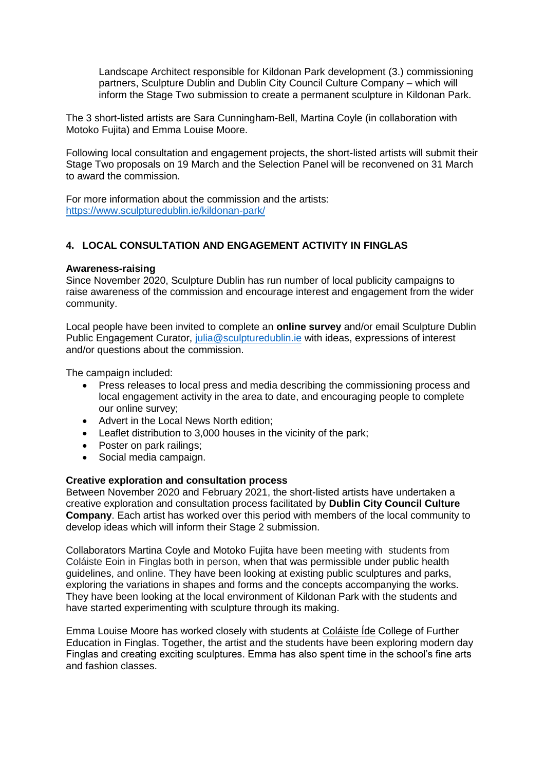Landscape Architect responsible for Kildonan Park development (3.) commissioning partners, Sculpture Dublin and Dublin City Council Culture Company – which will inform the Stage Two submission to create a permanent sculpture in Kildonan Park.

The 3 short-listed artists are Sara Cunningham-Bell, Martina Coyle (in collaboration with Motoko Fujita) and Emma Louise Moore.

Following local consultation and engagement projects, the short-listed artists will submit their Stage Two proposals on 19 March and the Selection Panel will be reconvened on 31 March to award the commission.

For more information about the commission and the artists: <https://www.sculpturedublin.ie/kildonan-park/>

# **4. LOCAL CONSULTATION AND ENGAGEMENT ACTIVITY IN FINGLAS**

#### **Awareness-raising**

Since November 2020, Sculpture Dublin has run number of local publicity campaigns to raise awareness of the commission and encourage interest and engagement from the wider community.

Local people have been invited to complete an **online survey** and/or email Sculpture Dublin Public Engagement Curator, [julia@sculpturedublin.ie](mailto:julia@sculpturedublin.ie) with ideas, expressions of interest and/or questions about the commission.

The campaign included:

- Press releases to local press and media describing the commissioning process and local engagement activity in the area to date, and encouraging people to complete our online survey;
- Advert in the Local News North edition;
- Leaflet distribution to 3,000 houses in the vicinity of the park;
- Poster on park railings;
- Social media campaign.

#### **Creative exploration and consultation process**

Between November 2020 and February 2021, the short-listed artists have undertaken a creative exploration and consultation process facilitated by **Dublin City Council Culture Company**. Each artist has worked over this period with members of the local community to develop ideas which will inform their Stage 2 submission.

Collaborators Martina Coyle and Motoko Fujita have been meeting with students from Coláiste Eoin in Finglas both in person, when that was permissible under public health guidelines, and online. They have been looking at existing public sculptures and parks, exploring the variations in shapes and forms and the concepts accompanying the works. They have been looking at the local environment of Kildonan Park with the students and have started experimenting with sculpture through its making.

Emma Louise Moore has worked closely with students at [Coláiste Íde](https://www.colaisteide.ie/) College of Further Education in Finglas. Together, the artist and the students have been exploring modern day Finglas and creating exciting sculptures. Emma has also spent time in the school's fine arts and fashion classes.